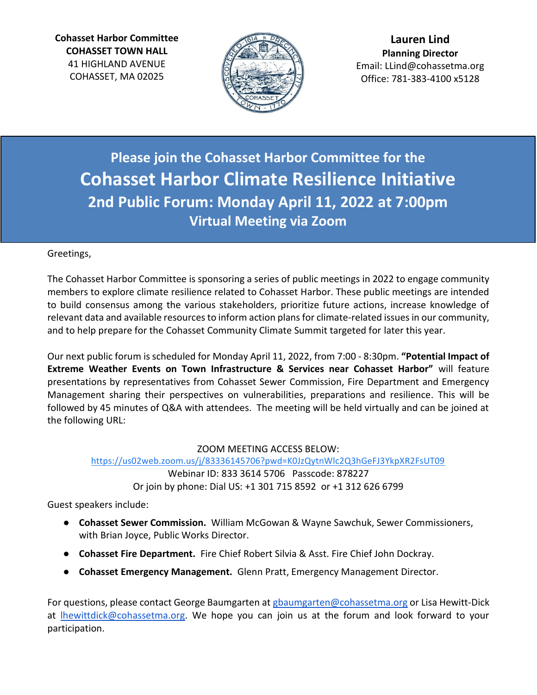**Cohasset Harbor Committee COHASSET TOWN HALL** 41 HIGHLAND AVENUE COHASSET, MA 02025



**Lauren Lind Planning Director** Email: LLind@cohassetma.org Office: 781-383-4100 x5128

**Please join the Cohasset Harbor Committee for the Cohasset Harbor Climate Resilience Initiative 2nd Public Forum: Monday April 11, 2022 at 7:00pm Virtual Meeting via Zoom** 

### Greetings,

The Cohasset Harbor Committee is sponsoring a series of public meetings in 2022 to engage community members to explore climate resilience related to Cohasset Harbor. These public meetings are intended to build consensus among the various stakeholders, prioritize future actions, increase knowledge of relevant data and available resources to inform action plans for climate-related issues in our community, and to help prepare for the Cohasset Community Climate Summit targeted for later this year.

Our next public forum is scheduled for Monday April 11, 2022, from 7:00 - 8:30pm. **"Potential Impact of Extreme Weather Events on Town Infrastructure & Services near Cohasset Harbor"** will feature presentations by representatives from Cohasset Sewer Commission, Fire Department and Emergency Management sharing their perspectives on vulnerabilities, preparations and resilience. This will be followed by 45 minutes of Q&A with attendees. The meeting will be held virtually and can be joined at the following URL:

#### ZOOM MEETING ACCESS BELOW:

<https://us02web.zoom.us/j/83336145706?pwd=K0JzQytnWlc2Q3hGeFJ3YkpXR2FsUT09> Webinar ID: 833 3614 5706 Passcode: 878227 Or join by phone: Dial US: +1 301 715 8592 or +1 312 626 6799

Guest speakers include:

- **Cohasset Sewer Commission.** William McGowan & Wayne Sawchuk, Sewer Commissioners, with Brian Joyce, Public Works Director.
- **Cohasset Fire Department.** Fire Chief Robert Silvia & Asst. Fire Chief John Dockray.
- **Cohasset Emergency Management.** Glenn Pratt, Emergency Management Director.

For questions, please contact George Baumgarten at [gbaumgarten@cohassetma.org](mailto:gbaumgarten@cohassetma.org) or Lisa Hewitt-Dick at [lhewittdick@cohassetma.org.](mailto:lhewittdick@cohassetma.org) We hope you can join us at the forum and look forward to your participation.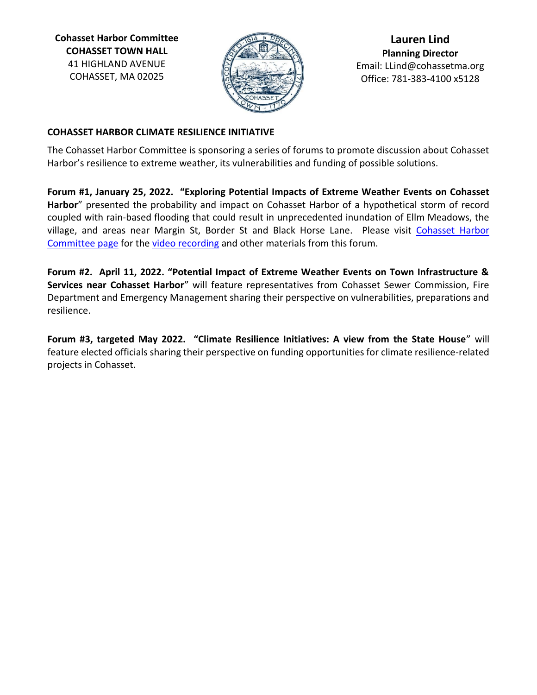**Cohasset Harbor Committee COHASSET TOWN HALL** 41 HIGHLAND AVENUE COHASSET, MA 02025



**Lauren Lind Planning Director** Email: LLind@cohassetma.org Office: 781-383-4100 x5128

#### **COHASSET HARBOR CLIMATE RESILIENCE INITIATIVE**

The Cohasset Harbor Committee is sponsoring a series of forums to promote discussion about Cohasset Harbor's resilience to extreme weather, its vulnerabilities and funding of possible solutions.

**Forum #1, January 25, 2022. "Exploring Potential Impacts of Extreme Weather Events on Cohasset Harbor**" presented the probability and impact on Cohasset Harbor of a hypothetical storm of record coupled with rain-based flooding that could result in unprecedented inundation of Ellm Meadows, the village, and areas near Margin St, Border St and Black Horse Lane. Please visit [Cohasset Harbor](https://cohassetma.org/284/Cohasset-Harbor-Committee)  [Committee page](https://cohassetma.org/284/Cohasset-Harbor-Committee) for the [video recording](https://www.youtube.com/watch?v=voszGKQIpGk) and other materials from this forum.

**Forum #2. April 11, 2022. "Potential Impact of Extreme Weather Events on Town Infrastructure & Services near Cohasset Harbor**" will feature representatives from Cohasset Sewer Commission, Fire Department and Emergency Management sharing their perspective on vulnerabilities, preparations and resilience.

**Forum #3, targeted May 2022. "Climate Resilience Initiatives: A view from the State House**" will feature elected officials sharing their perspective on funding opportunities for climate resilience-related projects in Cohasset.